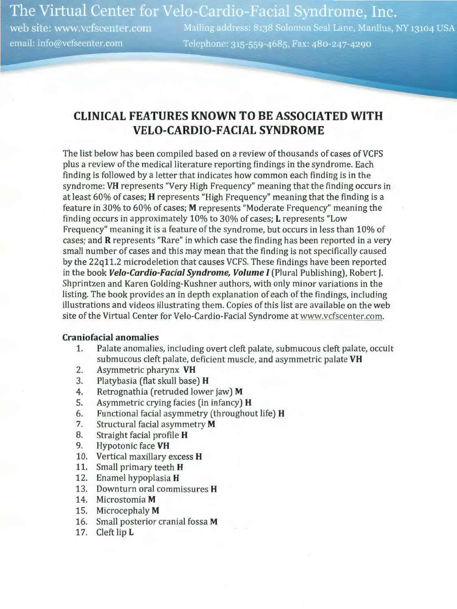The Virtual Center for Velo-Cardio-Facial Syndrome, Inc.

web site: www.vcfscenter.com email: info@vcfscenter.com

Mailing address: 8138 Solomon Seal Lane, Manlius, NY 13104 USA Telephone: 315-559-4685, Fax: 480-247-4290

# **CLINICAL FEATURES KNOWN TO BE ASSOCIATED WITH VELO-CARDIO-FACIAL SYNDROME**

The list below has been compiled based on a review of thousands of cases of VCFS plus a review of the medical literature reporting findings in the syndrome. Each finding is followed by a letter that indicates how common each finding is in the syndrome: **VH** represents "Very High Frequency" meaning that the finding occurs in at least 60% of cases; **H** represents "High Frequency" meaning that the finding is a feature in 30% to 60% of cases; **M** represents "Moderate Frequency" meaning the finding occurs in approximately 10% to 30% of cases; **L** represents "Low Frequency" meaning it is a feature of the syndrome, but occurs in less than 10% of cases; and **R** represents "Rare" in which case the finding has been reported in a very small number of cases and this may mean that the finding is not specifically caused by the 22q11.2 microdeletion that causes VCFS. These findings have been reported in the book **Velo-Cardio-Facial Syndrome, Volume** I (Plural Publishing), Robert **J.**  Shprintzen and Karen Golding-Kushner authors, with only minor variations in the listing. The book provides an in depth explanation of each of the findings, including illustrations and videos illustrating them. Copies of this list are available on the web site of the Virtual Center for Velo-Cardio-Facial Syndrome at www.vcfscenter.com.

#### **Craniofacial anomalies**

- 1. Palate anomalies, including overt cleft palate, submucous cleft palate, occult submucous cleft palate, deficient muscle, and asymmetric palate **VH**
- 2. Asymmetric pharynx **VH**
- 3. Platybasia (flat skull base) **H**
- 4. Retrognathia (retruded lower jaw) **M**
- 5. Asymmetric crying facies (in infancy) **H**
- 6. Functional facial asymmetry (throughout life) **H**
- 7. Structural facial asymmetry **M**
- 8. Straight facial profile **H**
- 9. Hypotonic face **VH**
- 10. Vertical maxillary excess **H**
- 11. Small primary teeth **H**
- 12. Enamel hypoplasia **H**
- 13. Downturn oral commissures **H**
- 14. Microstomia **M**
- 15. Microcephaly **M**
- 16. Small posterior cranial fossa **M**
- 17. Cleft lip **L**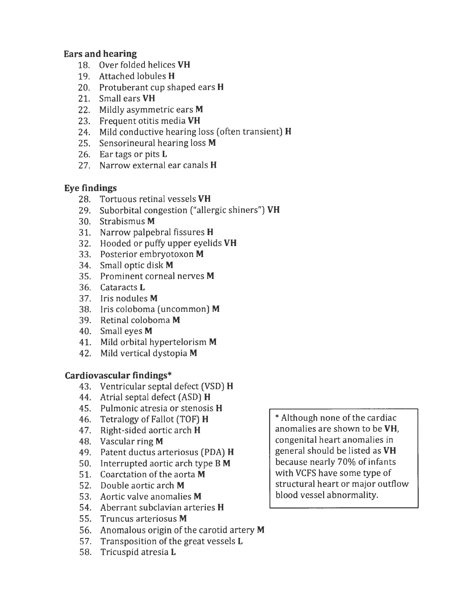### **Ears and hearing**

- 18. Over folded helices **VH**
- 19. Attached lobules **H**
- 20. Protuberant cup shaped ears **H**
- 21. Small ears **VH**
- 22. Mildly asymmetric ears **M**
- 23. Frequent otitis media **VH**
- 24. Mild conductive hearing loss (often transient) **H**
- 2S. Sensorineural hearing loss **M**
- 26. Ear tags or pits **L**
- 27. Narrow external ear canals **H**

## **Eye findings**

- 28. Tortuous retinal vessels **VH**
- 29. Suborbital congestion ("allergic shiners") **VH**
- 30. Strabismus **M**
- 31. Narrow palpebral fissures **H**
- 32. Hooded or puffy upper eyelids **VH**
- 33. Posterior embryotoxon **M**
- 34. Small optic disk **M**
- 3S. Prominent corneal nerves **M**
- 36. Cataracts **L**
- 37. Iris nodules **M**
- 38. Iris coloboma (uncommon) **M**
- 39. Retinal coloboma **M**
- 40. Small eyes **M**
- 41. Mild orbital hypertelorism **M**
- 42. Mild vertical dystopia **M**

## **Cardiovascular findings\***

- 43. Ventricular septa! defect (VSD) **H**
- 44. Atrial septa! defect (ASD) **H**
- 4S. Pulmonic atresia or stenosis **H**
- 46. Tetralogy of Fallot (TOF) **H**
- 47. Right-sided aortic arch **H**
- 48. Vascular ring **M**
- 49. Patent ductus arteriosus (PDA) **H**
- SO. Interrupted aortic arch type B **M**
- S 1. Coarctation of the aorta **M**
- S2. Double aortic arch **M**
- S3. Aortic valve anomalies **M**
- S4. Aberrant subclavian arteries **H**
- SS. Truncus arteriosus **M**
- S6. Anomalous origin of the carotid artery **M**
- S7. Transposition of the great vessels **L**
- S8. Tricuspid atresia **L**

\*Although none of the cardiac anomalies are shown to be **VH,**  congenital heart anomalies in general should be listed as **VH**  because nearly 70% of infants with VCFS have some type of structural heart or major outflow blood vessel abnormality.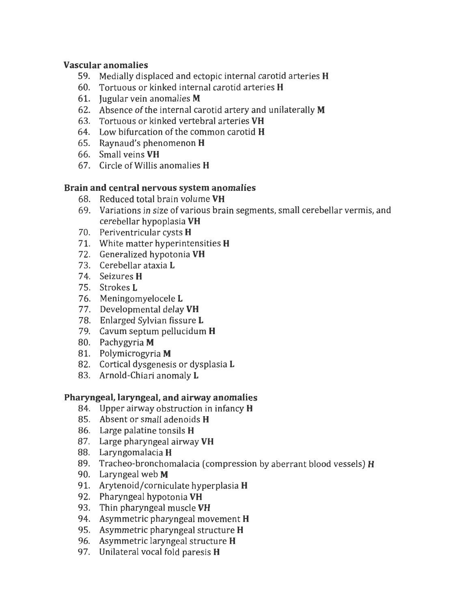### **Vascular anomalies**

- 59. Medially displaced and ectopic internal carotid arteries **H**
- 60. Tortuous or kinked internal carotid arteries **H**
- 61. Jugular vein anomalies **M**
- 62. Absence of the internal carotid artery and unilaterally **M**
- 63. Tortuous or kinked vertebral arteries **VH**
- 64. Low bifurcation of the common carotid **H**
- 65. Raynaud's phenomenon **H**
- 66. Small veins **VH**
- 67. Circle of Willis anomalies **H**

## **Brain and central nervous system anomalies**

- 68. Reduced total brain volume **VH**
- 69. Variations in size of various brain segments, small cerebellar vermis, and cerebellar hypoplasia **VH**
- 70. Periventricular cysts **H**
- 71. White matter hyperintensities **H**
- 72. Generalized hypotonia **VH**
- 73. Cerebellar ataxia **L**
- 7 4. Seizures **H**
- 75. Strokes **L**
- 76. Meningomyelocele **L**
- 77. Developmental delay **VH**
- 78. Enlarged Sylvian fissure **L**
- 79. Cavum septum pellucidum **H**
- 80. Pachygyria **M**
- 81. Polymicrogyria **M**
- 82. Cortical dysgenesis or dysplasia **L**
- 83. Arnold-Chiari anomaly **L**

## **Pharyngeal, laryngeal, and airway anomalies**

- 84. Upper airway obstruction in infancy **H**
- 85. Absent or small adenoids **H**
- 86. Large palatine tonsils **H**
- 87. Large pharyngeal airway **VH**
- 88. Laryngomalacia **H**
- 89. Tracheo-bronchomalacia (compression by aberrant blood vessels) **H**
- 90. Laryngeal web **M**
- 91. Arytenoid/corniculate hyperplasia **H**
- 92. Pharyngeal hypotonia **VH**
- 93. Thin pharyngeal muscle **VH**
- 94. Asymmetric pharyngeal movement **H**
- 95. Asymmetric pharyngeal structure **H**
- 96. Asymmetric laryngeal structure **H**
- 97. Unilateral vocal fold paresis **H**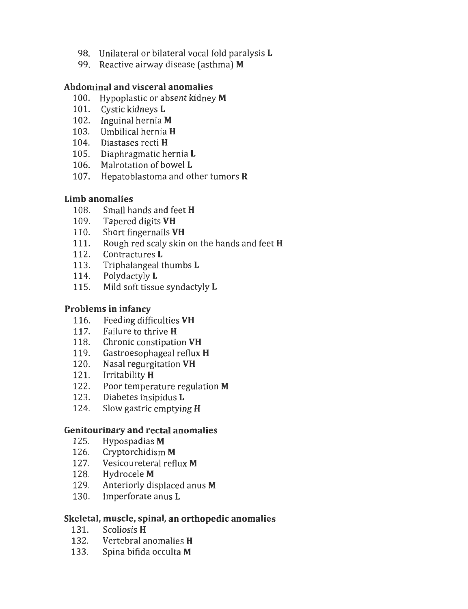- 98. Unilateral or bilateral vocal fold paralysis **L**
- 99. Reactive airway disease (asthma) **M**

## **Abdominal and visceral anomalies**

- 100. Hypoplastic or absent kidney **M**
- 101. Cystic kidneys **L**
- 102. Inguinal hernia **M**
- 103. Umbilical hernia **H**
- 104. Diastases recti **H**
- 105. Diaphragmatic hernia **L**
- 106. Malrotation of bowel **L**
- 107. Hepatoblastoma and other tumors **R**

## **Limb anomalies**

- 108. Small hands and feet **H**
- 109. Tapered digits **VH**
- 110. Short fingernails **VH**
- 111. Rough red scaly skin on the hands and feet **H**
- 112. Contractures **L**
- 113. Triphalangeal thumbs **L**
- 114. Polydactyly **L**
- 115. Mild soft tissue syndactyly **L**

## **Problems in infancy**

- 116. Feeding difficulties **VH**
- 117. Failure to thrive **H**
- 118. Chronic constipation **VH**
- 119. Gastroesophageal reflux **H**
- 120. Nasal regurgitation **VH**
- 121. Irritability **H**
- 122. Poor temperature regulation **M**
- 123. Diabetes insipidus **L**
- 124. Slow gastric emptying **H**

## **Genitourinary and rectal anomalies**

- 125. Hypospadias **M**
- 126. Cryptorchidism **M**
- 127. Vesicoureteral reflux **M**
- 128. Hydrocele **M**
- 129. Anteriorly displaced anus **M**
- 130. Im perforate anus **L**

## **Skeletal, muscle, spinal, an orthopedic anomalies**

- 131. Scoliosis **H**
- 132. Vertebral anomalies **H**
- 133. Spina bifida occulta **M**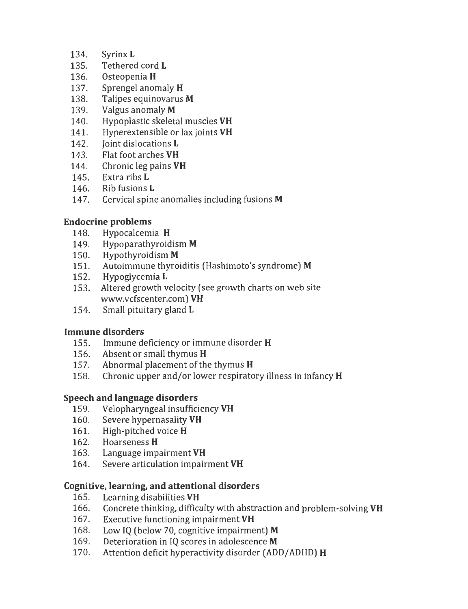- 134. Syrinx **L**
- 135. Tethered cord **L**
- 136. Osteopenia **H**
- 137. Sprengel anomaly **H**
- 138. Talipes equinovarus **M**
- 139. Valgus anomaly **M**
- 140. Hypoplastic skeletal muscles **VH**
- 141. Hyperextensible or lax joints **VH**
- 142. Joint dislocations **L**
- 143. Flat foot arches **VH**
- 144. Chronic leg pains **VH**
- 145. Extra ribs **L**
- 146. Rib fusions **L**
- 147. Cervical spine anomalies including fusions **M**

## **Endocrine problems**

- 148. Hypocalcemia **H**
- 149. Hypoparathyroidism **M**
- 150. Hypothyroidism **M**
- 151. Autoimmune thyroiditis (Hashimoto's syndrome) **M**
- 152. Hypoglycemia **L**
- 153. Altered growth velocity (see growth charts on web site www.vcfscenter.com) **VH**
- 154. Small pituitary gland **L**

#### **Immune disorders**

- 155. Immune deficiency or immune disorder **H**
- 156. Absent or small thymus **H**
- 157. Abnormal placement of the thymus **H**
- 158. Chronic upper and/or lower respiratory illness in infancy **H**

#### **Speech and language disorders**

- 159. Velopharyngeal insufficiency **VH**
- 160. Severe hypernasality **VH**
- 161. High-pitched voice **H**
- 162. Hoarseness **H**
- 163. Language impairment **VH**
- 164. Severe articulation impairment **VH**

## **Cognitive, learning, and attentional disorders**

- 165. Learning disabilities **VH**
- 166. Concrete thinking, difficulty with abstraction and problem-solving **VH**
- 167. Executive functioning impairment **VH**
- 168. Low IQ (below 70, cognitive impairment) **M**
- 169. Deterioration in IQ scores in adolescence **M**
- 170. Attention deficit hyperactivity disorder (ADD/ ADHD) **H**